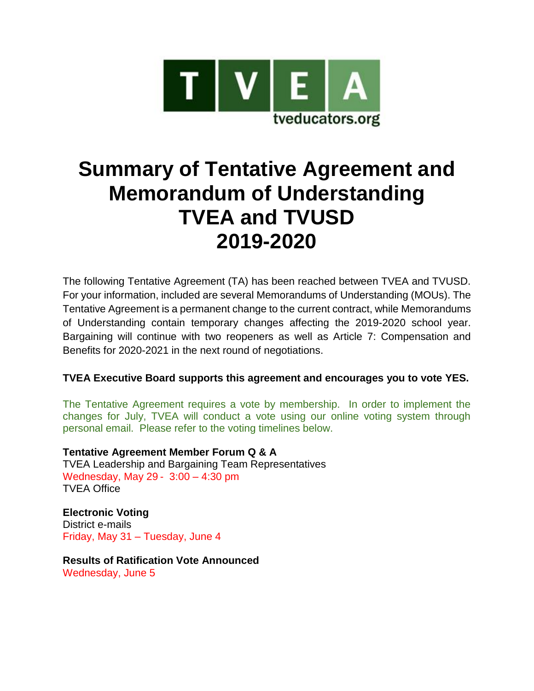

# **Summary of Tentative Agreement and Memorandum of Understanding TVEA and TVUSD 2019-2020**

The following Tentative Agreement (TA) has been reached between TVEA and TVUSD. For your information, included are several Memorandums of Understanding (MOUs). The Tentative Agreement is a permanent change to the current contract, while Memorandums of Understanding contain temporary changes affecting the 2019-2020 school year. Bargaining will continue with two reopeners as well as Article 7: Compensation and Benefits for 2020-2021 in the next round of negotiations.

# **TVEA Executive Board supports this agreement and encourages you to vote YES.**

The Tentative Agreement requires a vote by membership. In order to implement the changes for July, TVEA will conduct a vote using our online voting system through personal email. Please refer to the voting timelines below.

**Tentative Agreement Member Forum Q & A** TVEA Leadership and Bargaining Team Representatives Wednesday, May 29 - 3:00 – 4:30 pm TVEA Office

**Electronic Voting** District e-mails Friday, May 31 – Tuesday, June 4

**Results of Ratification Vote Announced** Wednesday, June 5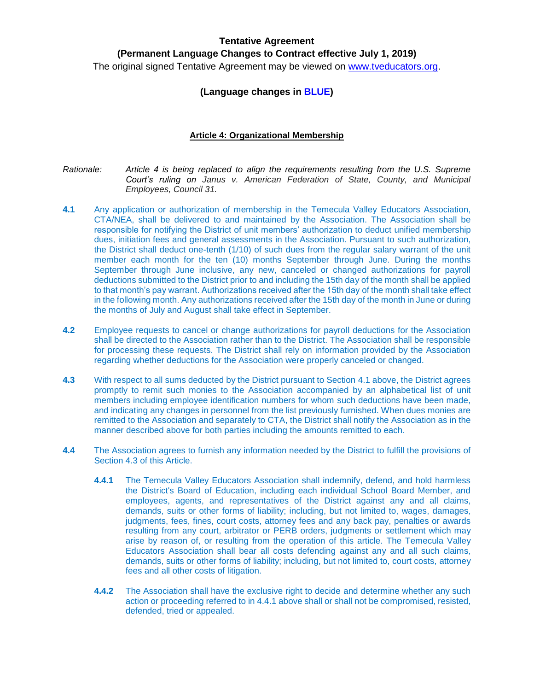#### **Tentative Agreement**

**(Permanent Language Changes to Contract effective July 1, 2019)**

The original signed Tentative Agreement may be viewed on [www.tveducators.org.](http://www.tveducators.org/)

### **(Language changes in BLUE)**

#### **Article 4: Organizational Membership**

- *Rationale: Article 4 is being replaced to align the requirements resulting from the U.S. Supreme Court's ruling on Janus v. American Federation of State, County, and Municipal Employees, Council 31.*
- **4.1** Any application or authorization of membership in the Temecula Valley Educators Association, CTA/NEA, shall be delivered to and maintained by the Association. The Association shall be responsible for notifying the District of unit members' authorization to deduct unified membership dues, initiation fees and general assessments in the Association. Pursuant to such authorization, the District shall deduct one-tenth (1/10) of such dues from the regular salary warrant of the unit member each month for the ten (10) months September through June. During the months September through June inclusive, any new, canceled or changed authorizations for payroll deductions submitted to the District prior to and including the 15th day of the month shall be applied to that month's pay warrant. Authorizations received after the 15th day of the month shall take effect in the following month. Any authorizations received after the 15th day of the month in June or during the months of July and August shall take effect in September.
- **4.2** Employee requests to cancel or change authorizations for payroll deductions for the Association shall be directed to the Association rather than to the District. The Association shall be responsible for processing these requests. The District shall rely on information provided by the Association regarding whether deductions for the Association were properly canceled or changed.
- **4.3** With respect to all sums deducted by the District pursuant to Section 4.1 above, the District agrees promptly to remit such monies to the Association accompanied by an alphabetical list of unit members including employee identification numbers for whom such deductions have been made, and indicating any changes in personnel from the list previously furnished. When dues monies are remitted to the Association and separately to CTA, the District shall notify the Association as in the manner described above for both parties including the amounts remitted to each.
- **4.4** The Association agrees to furnish any information needed by the District to fulfill the provisions of Section 4.3 of this Article.
	- **4.4.1** The Temecula Valley Educators Association shall indemnify, defend, and hold harmless the District's Board of Education, including each individual School Board Member, and employees, agents, and representatives of the District against any and all claims, demands, suits or other forms of liability; including, but not limited to, wages, damages, judgments, fees, fines, court costs, attorney fees and any back pay, penalties or awards resulting from any court, arbitrator or PERB orders, judgments or settlement which may arise by reason of, or resulting from the operation of this article. The Temecula Valley Educators Association shall bear all costs defending against any and all such claims, demands, suits or other forms of liability; including, but not limited to, court costs, attorney fees and all other costs of litigation.
	- **4.4.2** The Association shall have the exclusive right to decide and determine whether any such action or proceeding referred to in 4.4.1 above shall or shall not be compromised, resisted, defended, tried or appealed.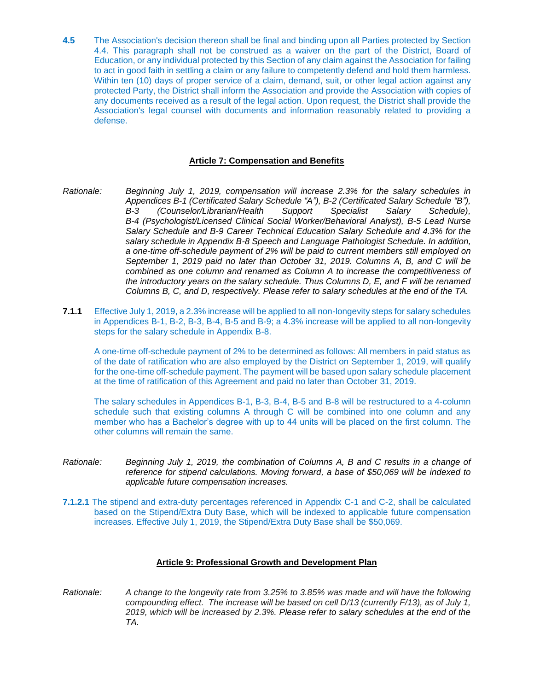**4.5** The Association's decision thereon shall be final and binding upon all Parties protected by Section 4.4. This paragraph shall not be construed as a waiver on the part of the District, Board of Education, or any individual protected by this Section of any claim against the Association for failing to act in good faith in settling a claim or any failure to competently defend and hold them harmless. Within ten (10) days of proper service of a claim, demand, suit, or other legal action against any protected Party, the District shall inform the Association and provide the Association with copies of any documents received as a result of the legal action. Upon request, the District shall provide the Association's legal counsel with documents and information reasonably related to providing a defense.

#### **Article 7: Compensation and Benefits**

- *Rationale: Beginning July 1, 2019, compensation will increase 2.3% for the salary schedules in Appendices B-1 (Certificated Salary Schedule "A"), B-2 (Certificated Salary Schedule "B"), B-3 (Counselor/Librarian/Health Support Specialist Salary Schedule), B-4 (Psychologist/Licensed Clinical Social Worker/Behavioral Analyst), B-5 Lead Nurse Salary Schedule and B-9 Career Technical Education Salary Schedule and 4.3% for the salary schedule in Appendix B-8 Speech and Language Pathologist Schedule. In addition, a one-time off-schedule payment of 2% will be paid to current members still employed on September 1, 2019 paid no later than October 31, 2019. Columns A, B, and C will be combined as one column and renamed as Column A to increase the competitiveness of the introductory years on the salary schedule. Thus Columns D, E, and F will be renamed Columns B, C, and D, respectively. Please refer to salary schedules at the end of the TA.*
- **7.1.1** Effective July 1, 2019, a 2.3% increase will be applied to all non-longevity steps for salary schedules in Appendices B-1, B-2, B-3, B-4, B-5 and B-9; a 4.3% increase will be applied to all non-longevity steps for the salary schedule in Appendix B-8.

A one-time off-schedule payment of 2% to be determined as follows: All members in paid status as of the date of ratification who are also employed by the District on September 1, 2019, will qualify for the one-time off-schedule payment. The payment will be based upon salary schedule placement at the time of ratification of this Agreement and paid no later than October 31, 2019.

The salary schedules in Appendices B-1, B-3, B-4, B-5 and B-8 will be restructured to a 4-column schedule such that existing columns A through C will be combined into one column and any member who has a Bachelor's degree with up to 44 units will be placed on the first column. The other columns will remain the same.

- *Rationale: Beginning July 1, 2019, the combination of Columns A, B and C results in a change of reference for stipend calculations. Moving forward, a base of \$50,069 will be indexed to applicable future compensation increases.*
- **7.1.2.1** The stipend and extra-duty percentages referenced in Appendix C-1 and C-2, shall be calculated based on the Stipend/Extra Duty Base, which will be indexed to applicable future compensation increases. Effective July 1, 2019, the Stipend/Extra Duty Base shall be \$50,069.

#### **Article 9: Professional Growth and Development Plan**

*Rationale: A change to the longevity rate from 3.25% to 3.85% was made and will have the following compounding effect. The increase will be based on cell D/13 (currently F/13), as of July 1, 2019, which will be increased by 2.3%. Please refer to salary schedules at the end of the TA.*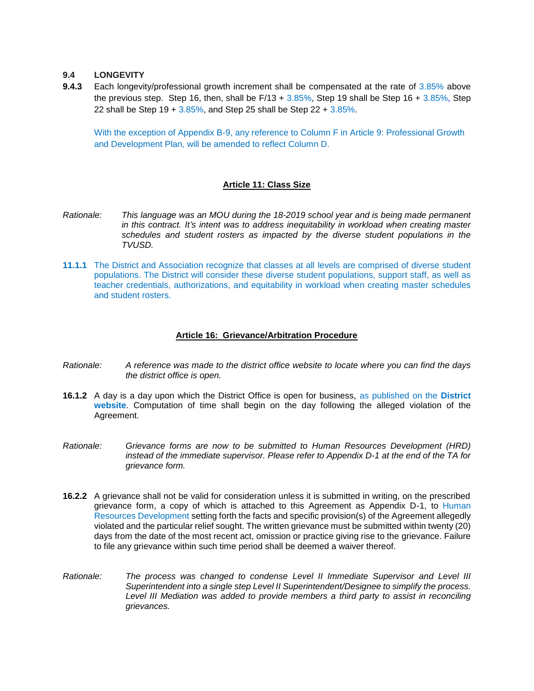#### **9.4 LONGEVITY**

**9.4.3** Each longevity/professional growth increment shall be compensated at the rate of 3.85% above the previous step. Step 16, then, shall be  $F/13 + 3.85\%$ , Step 19 shall be Step 16 +  $3.85\%$ , Step 22 shall be Step  $19 + 3.85\%$ , and Step 25 shall be Step  $22 + 3.85\%$ .

With the exception of Appendix B-9, any reference to Column F in Article 9: Professional Growth and Development Plan, will be amended to reflect Column D.

#### **Article 11: Class Size**

- *Rationale: This language was an MOU during the 18-2019 school year and is being made permanent in this contract. It's intent was to address inequitability in workload when creating master schedules and student rosters as impacted by the diverse student populations in the TVUSD.*
- **11.1.1** The District and Association recognize that classes at all levels are comprised of diverse student populations. The District will consider these diverse student populations, support staff, as well as teacher credentials, authorizations, and equitability in workload when creating master schedules and student rosters.

#### **Article 16: Grievance/Arbitration Procedure**

- *Rationale: A reference was made to the district office website to locate where you can find the days the district office is open.*
- **16.1.2** A day is a day upon which the District Office is open for business, as published on the **District website**. Computation of time shall begin on the day following the alleged violation of the Agreement.
- *Rationale: Grievance forms are now to be submitted to Human Resources Development (HRD) instead of the immediate supervisor. Please refer to Appendix D-1 at the end of the TA for grievance form.*
- **16.2.2** A grievance shall not be valid for consideration unless it is submitted in writing, on the prescribed grievance form, a copy of which is attached to this Agreement as Appendix D-1, to Human Resources Development setting forth the facts and specific provision(s) of the Agreement allegedly violated and the particular relief sought. The written grievance must be submitted within twenty (20) days from the date of the most recent act, omission or practice giving rise to the grievance. Failure to file any grievance within such time period shall be deemed a waiver thereof.
- *Rationale: The process was changed to condense Level II Immediate Supervisor and Level III Superintendent into a single step Level II Superintendent/Designee to simplify the process. Level III Mediation was added to provide members a third party to assist in reconciling grievances.*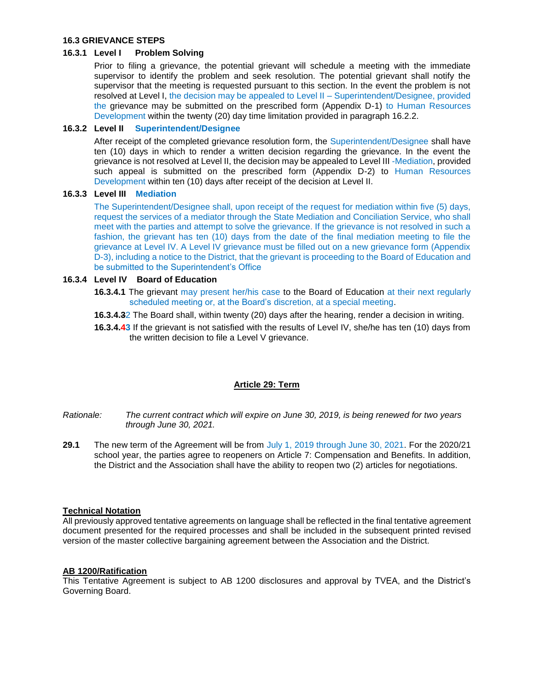#### **16.3 GRIEVANCE STEPS**

#### **16.3.1 Level I Problem Solving**

Prior to filing a grievance, the potential grievant will schedule a meeting with the immediate supervisor to identify the problem and seek resolution. The potential grievant shall notify the supervisor that the meeting is requested pursuant to this section. In the event the problem is not resolved at Level I, the decision may be appealed to Level II – Superintendent/Designee, provided the grievance may be submitted on the prescribed form (Appendix D-1) to Human Resources Development within the twenty (20) day time limitation provided in paragraph 16.2.2.

#### **16.3.2 Level II Superintendent/Designee**

After receipt of the completed grievance resolution form, the Superintendent/Designee shall have ten (10) days in which to render a written decision regarding the grievance. In the event the grievance is not resolved at Level II, the decision may be appealed to Level III -Mediation, provided such appeal is submitted on the prescribed form (Appendix D-2) to Human Resources Development within ten (10) days after receipt of the decision at Level II.

#### **16.3.3 Level III Mediation**

The Superintendent/Designee shall, upon receipt of the request for mediation within five (5) days, request the services of a mediator through the State Mediation and Conciliation Service, who shall meet with the parties and attempt to solve the grievance. If the grievance is not resolved in such a fashion, the grievant has ten (10) days from the date of the final mediation meeting to file the grievance at Level IV. A Level IV grievance must be filled out on a new grievance form (Appendix D-3), including a notice to the District, that the grievant is proceeding to the Board of Education and be submitted to the Superintendent's Office

#### **16.3.4 Level IV Board of Education**

- **16.3.4.1** The grievant may present her/his case to the Board of Education at their next regularly scheduled meeting or, at the Board's discretion, at a special meeting.
- **16.3.4.3**2 The Board shall, within twenty (20) days after the hearing, render a decision in writing.
- **16.3.4.43** If the grievant is not satisfied with the results of Level IV, she/he has ten (10) days from the written decision to file a Level V grievance.

#### **Article 29: Term**

- *Rationale: The current contract which will expire on June 30, 2019, is being renewed for two years through June 30, 2021.*
- **29.1** The new term of the Agreement will be from July 1, 2019 through June 30, 2021. For the 2020/21 school year, the parties agree to reopeners on Article 7: Compensation and Benefits. In addition, the District and the Association shall have the ability to reopen two (2) articles for negotiations.

#### **Technical Notation**

All previously approved tentative agreements on language shall be reflected in the final tentative agreement document presented for the required processes and shall be included in the subsequent printed revised version of the master collective bargaining agreement between the Association and the District.

#### **AB 1200/Ratification**

This Tentative Agreement is subject to AB 1200 disclosures and approval by TVEA, and the District's Governing Board.